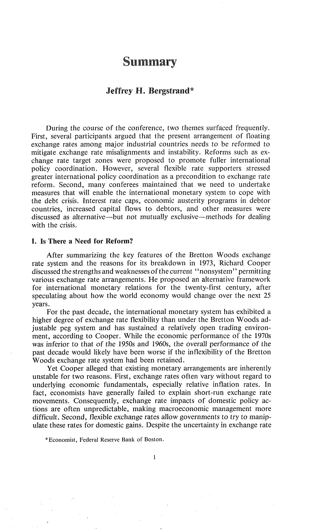# **Summary**

## **Jeffrey H. Bergstrand\***

During the course of the conference, two themes surfaced frequently. First, several participants argued that the present arrangement of floating exchange rates among major industrial countries needs to be reformed to mitigate exchange rate misalignments and instability. Reforms such as exchange rate target zones were proposed to promote fuller international policy coordination. However, several flexible rate supporters stressed greater international policy coordination as a precondition to exchange rate reform. Second, many conferees maintained that we need to undertake measures that will enable the international monetary system to cope with the debt crisis. Interest rate caps, economic austerity programs in debtor countries, increased capital flows to debtors, and other measures were discussed as alternative—but not mutually exclusive—methods for dealing with the crisis.

#### I. Is There a Need for Reform?

After summarizing the key features of the Bretton Woods exchange rate system and the reasons for its breakdown in 1973, Richard Cooper discussed the strengths and weaknesses of the current "nonsystem" permitting various exchange rate arrangements. He proposed an alternative framework for international monetary relations for the twenty-first century, after speculating about how the world economy would change over the next 25 years.

For the past decade, the international monetary system has exhibited a higher degree of exchange rate flexibility than under the Bretton Woods adjustable peg system and has sustained a relatively open trading environment, according to Cooper. While the economic performance of the 1970s was inferior to that of the 1950s and 1960s, the overall performance of the past decade would likely have been worse if the inflexibility of the Bretton Woods exchange rate system had been retained.

Yet Cooper alleged that existing monetary arrangements are inherently unstable for two reasons. First, exchange rates often vary without regard to underlying economic fundamentals, especially relative inflation rates. In fact, economists have generally failed to explain short-run exchange rate movements. Consequently, exchange rate impacts of domestic policy actions are often unpredictable, making macroeconomic management more difficult. Second, flexible exchange rates allow governments to try to manipulate these rates for domestic gains. Despite the uncertainty in exchange rate

<sup>\*</sup>Economist, Federal Reserve Bank of Boston.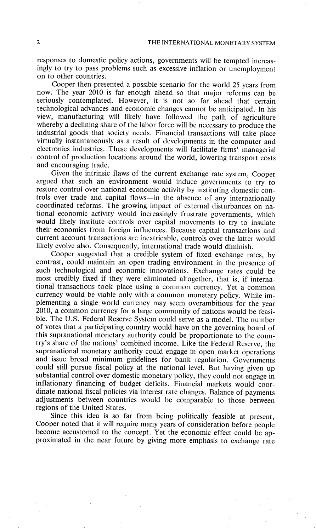responses to domestic policy actions, governments will be tempted increasingly to try to pass problems such as excessive inflation or unemployment on to other countries.

Cooper then presented a possible scenario for the world 25 years from now. The year 2010 is far enough ahead so that major reforms can be seriously contemplated. However, it is not so far ahead that certain technological advances and economic changes cannot be anticipated. In his view, manufacturing will likely have followed the path of agriculture whereby a declining share of the labor force will be necessary to produce the industrial goods that society needs. Financial transactions will take place virtually instantaneously as a result of developments in the computer and electronics industries. These developments will facilitate firms' managerial control of production locations around the world, lowering transport costs and encouraging trade.

Given the intrinsic flaws of the current exchange rate system, Cooper argued that such an environment would induce governments to try to restore control over national economic activity by instituting domestic controls over trade and capital flows--in the absence of any internationally coordinated reforms. The growing impact of external disturbances on national economic activity would increasingly frustrate governments, which would likely institute controls over capital movements to try to insulate their economies from foreign influences. Because capital transactions and current account transactions are inextricable, controls over the latter would likely evolve also. Consequently, international trade would diminish.

Cooper suggested that a credible system of fixed exchange rates, by contrast, could maintain an open trading environment in the presence of such technological and economic innovations. Exchange rates could be most credibly fixed if they were eliminated altogether, that is, if international transactions took place using a common currency. Yet a common currency would be viable only with a common monetary policy. While implementing a single world currency may seem overambitious for the year 2010, a common currency for a large community of nations would be feasible. The U.S. Federal Reserve System could serve as a model. The number of votes that a participating country would have on the governing board of this supranational monetary authority could be proportionate to the country's share of the nations' combined income. Like the Federal Reserve, the supranational monetary authority could engage in open market operations and issue broad minimum guidelines for bank regulation. Governments could still pursue fiscal policy at the national level. But having given up substantial control over domestic monetary policy, they could not engage in inflationary financing of budget deficits. Financial markets would coordinate national fiscal policies via interest rate changes. Balance of payments adjustments between countries would be comparable to those between regions of the United States.

Since this idea is so far from being politically feasible at present, Cooper noted that it will require many years of consideration before people become accustomed to the concept. Yet the economic effect could be approximated in the near future by giving more emphasis to exchange rate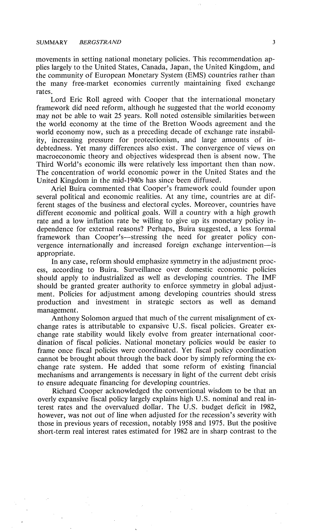movements in setting national monetary policies. This recommendation applies largely to the United States, Canada, Japan, the United Kingdom, and the community of European Monetary System (EMS) countries rather than the many free-market economies currently maintaining fixed exchange rates.

Lord Eric Roll agreed with Cooper that the international monetary framework did need reform, although he suggested that the world economy may not be able to wait 25 years. Roll noted ostensible similarities between the world economy at the time of the Bretton Woods agreement and the world economy now, such as a preceding decade of exchange rate instability, increasing pressure for protectionism, and large amounts of indebtedness. Yet many differences also exist. The convergence of views on macroeconomic theory and objectives widespread then is absent now. The Third World's economic ills were relatively less important then than now. The concentration of world economic power in the United States and the United Kingdom in the mid-1940s has since been diffused.

Ariel Buira commented that Cooper's framework could founder upon several political and economic realities. At any time, countries are at different stages of the business and electoral cycles. Moreover, countries have different economic and political goals. Will a country with a high growth rate and a low inflation rate be willing to give up its monetary policy independence for external reasons? Perhaps, Buira suggested, a less formal framework than Cooper's-stressing the need for greater policy convergence internationally and increased foreign exchange intervention--is appropriate.

In any case, reform should emphasize symmetry in the adjustment process, according to Buira. Surveillance over domestic economic policies should apply to industrialized as well as developing countries. The IMF should be granted greater authority to enforce symmetry in global adjustment. Policies for adjustment among developing countries should stress production and investment in strategic sectors as well as demand management.

Anthony Solomon argued that much of the current misalignment of exchange rates is attributable to expansive U.S. fiscal policies. Greater exchange rate stability would likely evolve from greater international coordination of fiscal policies. National monetary policies would be easier to frame once fiscal policies were coordinated. Yet fiscal policy coordination cannot be brought about through the back door by simply reforming the exchange rate system. He added that some reform of existing financial mechanisms and arrangements is necessary in light of the current debt crisis to ensure adequate financing for developing countries.

Richard Cooper acknowledged the conventional wisdom to be that an overly expansive fiscal policy largely explains high U.S. nominal and real interest rates and the overvalued dollar. The U.S. budget deficit in 1982, however, was not out of line when adjusted for the recession's severity with those in previous years of recession, notably 1958 and 1975. But the positive short-term real interest rates estimated for 1982 are in sharp contrast to the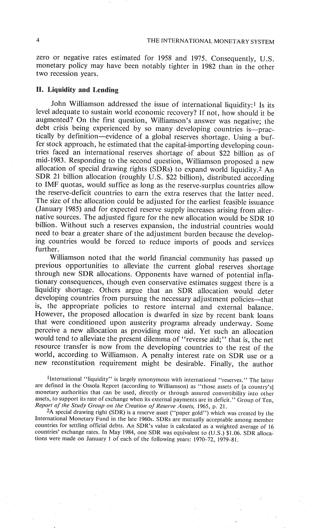zero or negative rates estimated for 1958 and 1975. Consequently, U.S. monetary policy may have been notably tighter in 1982 than in the other two recession years.

## **Liquidity and Lending**

John Williamson addressed the issue of international liquidity:<sup>1</sup> Is its level adequate to sustain world economic recovery? If not, how should it be augmented? On the first question, Williamson's answer was negative; the debt crisis being experienced by so many developing countries is-practically by definition--evidence of a global reserves shortage. Using a buffer stock approach, he estimated that the capital-importing developing countries faced an international reserves shortage of about \$22 billion as of mid-1983. Responding to the second question, Williamson proposed a new allocation of special drawing rights (SDRs) to expand world liquidity.2 An SDR 21 billion allocation (roughly U.S. \$22 billion), distributed according to IMF quotas, would suffice as long as the reserve-surplus countries allow the reserve-deficit countries to earn the extra reserves that the latter need. The size of the allocation could be adjusted for the earliest feasible issuance (January 1985) and for expected reserve supply increases arising from alternative sources. The adjusted figure for the new allocation would be SDR 10 billion. Without such a reserves expansion, the industrial countries would need to bear a greater share of the adjustment burden because the developing countries would be forced to reduce imports of goods and services further.

Williamson noted that the world financial community has passed up previous opportunities to alleviate the current global reserves shortage through new SDR allocations. Opponents have warned of potential inflationary consequences, though even conservative estimates suggest there is a liquidity shortage. Others argue that an SDR allocation would deter developing countries from pursuing the necessary adjustment policies---that is, the appropriate policies to restore internal and external balance. However, the proposed allocation is dwarfed in size by recent bank loans that were conditioned upon austerity programs already underway. Some perceive a new allocation as providing more aid. Yet such an allocation would tend to alleviate the present dilemma of "reverse aid;" that is, the net resource transfer is now from the developing countries to the rest of the world, according to Williamson. A penalty interest rate on SDR use or a new reconstitution requirement might be desirable. Finally, the author

lInternational "liquidity" is largely synonymous with international "reserves." The latter are defined in the Ossola Report (according to Williamson) as "those assets of [a country's] monetary authorities that can be used, directly or through assured convertibility into other assets, to support its rate of exchange when its external payments are in deficit." Group of Ten, *Report of the Study Group on the Creation of Reserve Assets,* 1965, p. 21.

<sup>2</sup>A special drawing right (SDR) is a reserve asset ("paper gold") which was created by the International Monetary Fund in the late 1960s. SDRs are mutually acceptable among member countries for settling official debts. An SDR's value is calculated as a weighted average of 16 countries' exchange rates. In May 1984, one SDR was equivalent to (U.S.) \$1.06. SDR allocations were made on January 1 of each of the following years: 1970-72, 1979-81.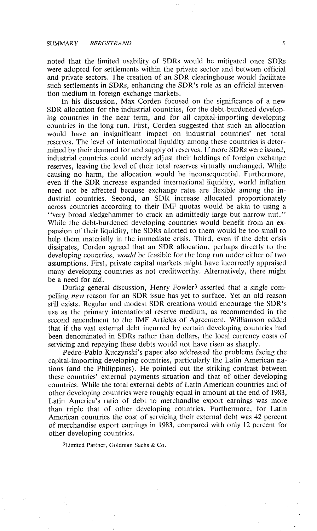noted that the limited usability of SDRs would be mitigated once SDRs were adopted for settlements within the private sector and between official and private sectors. The creation of an SDR clearinghouse would facilitate such settlements in SDRs, enhancing the SDR's role as an official intervention medium in foreign exchange markets.

In his discussion, Max Corden focused on the significance of a new SDR allocation for the industrial countries, for the debt-burdened developing countries in the near term, and for all capital-importing developing countries in the long run. First, Corden suggested that such an allocation would have an insignificant impact on industrial countries' net total reserves. The level of international liquidity among these countries is determined by their demand for and supply of reserves. If more SDRs were issued, industrial countries could merely adjust their holdings of foreign exchange reserves, leaving the level of their total reserves virtually unchanged. While causing no harm, the allocation would be inconsequential. Furthermore, even if the SDR increase expanded international liquidity, world inflation need not be affected because exchange rates are flexible among the industrial countries. Second, an SDR increase allocated proportionately across countries according to their IMF quotas would be akin to using a "very broad sledgehammer to crack an admittedly large but narrow nut." While the debt-burdened developing countries would benefit from an expansion of their liquidity, the SDRs allotted to them would be too small to help them materially in the immediate crisis. Third, even if the debt crisis dissipates, Corden agreed that an SDR allocation, perhaps directly to the developing countries, *would* be feasible for the long run under either of two assumptions. First, private capital markets might have incorrectly appraised many developing countries as not creditworthy. Alternatively, there might be a need for aid.

During general discussion, Henry Fowler3 asserted that a single compelling *new* reason for an SDR issue has yet to surface. Yet an old reason still exists. Regular and modest SDR creations would encourage the SDR's use as the primary international reserve medium, as recommended in the second amendment to the IMF Articles of Agreement. Williamson added that if the vast external debt incurred by certain developing countries had been denominated in SDRs rather than dollars, the local currency costs of servicing and repaying these debts would not have risen as sharply.

Pedro-Pablo Kuczynski's paper also addressed the problems facing the capital-importing developing countries, particularly the Latin American nations (and the Philippines). He pointed out the striking contrast between these countries' external payments situation and that of other developing countries. While the total external debts of Latin American countries and of other developing countries were roughly equal in amount at the end of 1983, Latin America's ratio of debt to merchandise export earnings was more than triple that of other developing countries. Furthermore, for Latin American countries the cost of servicing their external debt was 42 percent of merchandise export earnings in 1983, compared with only 12 percent for other developing countries.

3Limited Partner, Goldman Sachs & Co.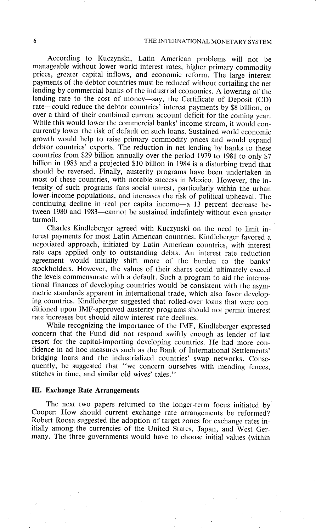According to Kuczynski, Latin American problems will not be manageable without lower world interest rates, higher primary commodity prices, greater capital inflows, and economic reform. The large interest payments of the debtor countries must be reduced without curtailing the net lending by commercial banks of the industrial economies. A lowering of the lending rate to the cost of money--say, the Certificate of Deposit (CD) rate-could reduce the debtor countries' interest payments by \$8 billion, or over a third of their combined current account deficit for the coming year. While this would lower the commercial banks' income stream, it would concurrently lower the risk of default on such loans. Sustained world economic growth would help to raise primary commodity prices and would expand debtor countries' exports. The reduction in net lending by banks to these countries from \$29 billion annually over the period 1979 to 1981 to only \$7 billion in 1983 and a projected \$10 billion in 1984 is a disturbing trend that should be reversed. Finally, austerity programs have been undertaken in most of these countries, with notable success in Mexico. However, the intensity of such programs fans social unrest, particularly within the urban lower-income populations, and increases the risk of political upheaval. The continuing decline in real per capita income-a 13 percent decrease between 1980 and 1983-cannot be sustained indefintely without even greater turmoil.

Charles Kindleberger agreed with Kuczynski on the need to limit interest payments for most Latin American countries. Kindleberger favored a negotiated approach, initiated by Latin American countries, with interest rate caps applied only to outstanding debts. An interest rate reduction agreement would initially shift more of the burden to the banks' stockholders. However, the values of their shares could ultimately exceed the levels commensurate with a default. Such a program to aid the international finances of developing countries would be consistent with the asymmetric standards apparent in international trade, which also favor developing countries. Kindleberger suggested that rolled-over loans that were conditioned upon IMF-approved austerity programs should not permit interest rate increases but should allow interest rate declines.

While recognizing the importance of the IMF, Kindleberger expressed concern that the Fund did not respond swiftly enough as lender of last resort for the capital-importing developing countries. He had more confidence in ad hoc measures such as the Bank of International Settlements' bridging loans and the industrialized countries' swap networks. Consequently, he suggested that "we concern ourselves with mending fences, stitches in time, and similar old wives' tales."

#### **III. Exchange Rate Arrangements**

The next two papers returned to the longer-term focus initiated by Cooper: How should current exchange rate arrangements be reformed? Robert Roosa suggested the adoption of target zones for exchange rates initially among the currencies of the United States, Japan, and West Germany. The three governments would have to choose initial values (within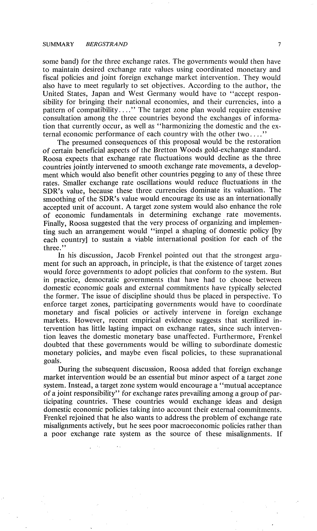#### SUMMARY *BERGSTRAND 7*

some band) for the three exchange rates. The governments would then have to maintain desired exchange rate values using coordinated monetary and fiscal policies and joint foreign exchange market intervention. They would also have to meet regularly to set objectives. According to the author, the United States, Japan and West Germany would have to "accept responsibility for bringing their national economies, and their currencies, into a pattern of compatibility ...." The target zone plan would require extensive consultation among the three countries beyond the exchanges of information that currently occur, as well as "harmonizing the domestic and the external economic performance of each country with the other two ...."

The presumed consequences of this proposal would be the restoration of certain beneficial aspects of the Bretton Woods gold-exchange standard. Roosa expects that exchange rate fluctuations would decline as the three countries jointly intervened to smooth exchange rate movements, a development which would also benefit other countries pegging to any of these three rates. Smaller exchange rate oscillations would reduce fluctuations in the SDR's value, because these three currencies dominate its valuation. The smoothing of the SDR's value would encourage its use as an internationally accepted unit of account. A target zone system would also enhance the role of economic fundamentals in determining exchange rate movements. Finally, Roosa suggested that the very process of organizing and implementing such an arrangement would "impel a shaping of domestic policy [by each country] to sustain a viable international position for each of the three."

In his discussion, Jacob Frenkel pointed out that the strongest argument for such an approach, in principle, is that the existence of target zones would force governments to adopt policies that conform to the system. But in practice, democratic governments that have had to choose between domestic economic goals and external commitments have typically selected the former. The issue of discipline should thus be placed in perspective. To enforce target zones, participating governments would have to coordinate monetary and fiscal policies or actively intervene in foreign exchange markets. However, recent empirical evidence suggests that sterilized intervention has little lasting impact on exchange rates, since such intervention leaves the domestic monetary base unaffected. Furthermore, Frenkel doubted that these governments would be willing to subordinate domestic monetary policies, and maybe even fiscal policies, to these supranational goals.

During the subsequent discussion, Roosa added that foreign exchange market intervention would be an essential but minor aspect of a target zone system. Instead, a target zone system would encourage a "mutual acceptance of a joint responsibility" for exchange rates prevailing among a group of participating countries. These countries would exchange ideas and design domestic economic policies taking into account their external commitments. Frenkel rejoined that he also wants to address the problem of exchange rate misalignments actively, but he sees poor macroeconomic policies rather than a poor exchange rate system as the source of these misalignments. If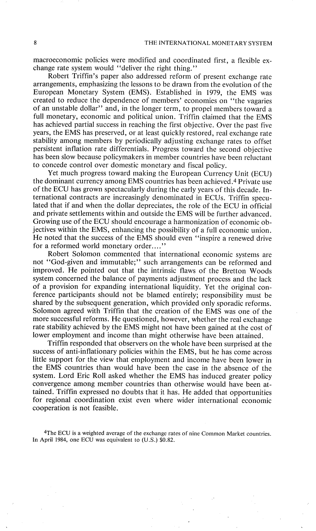macroeconomic policies were modified and coordinated first, a flexible exchange rate system would "deliver the right thing."

Robert Triffin's paper also addressed reform of present exchange rate arrangements, emphasizing the lessons to be drawn from the evolution of the European Monetary System (EMS). Established in 1979, the EMS was created to reduce the dependence of members' economies on "the vagaries of an unstable dollar" and, in the longer term, to propel members toward a full monetary, economic and political union. Triffin claimed that the EMS has achieved partial success in reaching the first objective. Over the past five years, the EMS has preserved, or at least quickly restored, real exchange rate stability among members by periodically adjusting exchange rates to offset persistent inflation rate differentials. Progress toward the second objective has been slow because policymakers in member countries have been reluctant to concede control over domestic monetary and fiscal policy.

Yet much progress toward making the European Currency Unit (ECU) the dominant currency among EMS countries has been achieved.4 Private use of the ECU has grown spectacularly during the early years of this decade. International contracts are increasingly denominated in ECUs. Triffin speculated that if and when the dollar depreciates, the role of the ECU in official and private settlements within and outside the EMS will be further advanced. Growing use of the ECU should encourage a harmonization of economic objectives within the EMS, enhancing the possibility of a full economic union. He noted that the success of the EMS should even "inspire a renewed drive for a reformed world monetary order...."

Robert Solomon commented that international economic systems are not "God-given and immutable;" such arrangements can be reformed and improved. He pointed out that the intrinsic flaws of the Bretton Woods system concerned the balance of payments adjustment process and the lack of a provision for expanding international liquidity. Yet the original conference participants should not be blamed entirely; responsibility must be shared by the subsequent generation, which provided only sporadic reforms. Solomon agreed with Triffin that the creation of the EMS was one of the more successful reforms. He questioned, however, whether the real exchange rate stability achieved by the EMS might not have been gained at the cost of lower employment and income than might otherwise have been attained.

Triffin responded that observers on the whole have been surprised at the success of anti-inflationary policies within the EMS, but he has come across little support for the view that employment and income have been lower in the EMS countries than would have been the case in the absence of the system. Lord Eric Roll asked whether the EMS has induced greater policy convergence among member countries than otherwise would have been attained. Triffin expressed no doubts that it has. He added that opportunities for regional coordination exist even where wider international economic cooperation is not feasible.

4The ECU is a weighted average of the exchange rates of nine Common Market countries. In April 1984, one ECU was equivalent to  $(U.S.)$  \$0.82.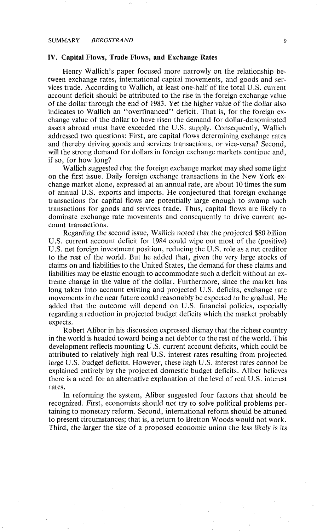#### **IV. Capital Flows, Trade Flows, and Exchange Rates**

Henry Wallich's paper focused more narrowly on the relationship between exchange rates, international capital movements, and goods and services trade. According to Wallich, at least one-half of the total U.S. current account deficit should be attributed to the rise in the foreign exchange value of the dollar through the end of 1983. Yet the higher value of the dollar also indicates to Wallich an "overfinanced" deficit. That is, for the foreign exchange value of the dollar to have risen the demand for dollar-denominated assets abroad must have exceeded the U.S. supply. Consequently, Wallich addressed two questions: First, are capital flows determining exchange rates and thereby driving goods and services transactions, or vice-versa? Second, will the strong demand for dollars in foreign exchange markets continue and, if so, for how long?

Wallich suggested that the foreign exchange market may shed *some* light on the first issue. Daily foreign exchange transactions in the New York exchange market alone, expressed at an annual rate, are about 10 times the sum of annual U.S. exports and imports. He conjectured that foreign exchange transactions for capital flows are potentially large enough to swamp such transactions for goods and services trade. Thus, capital flows are likely to dominate exchange rate movements and consequently to drive current account transactions.

Regarding the second issue, Wallich noted that the projected \$80 billion U.S. current account deficit for 1984 could wipe out most of the (positive) U.S. net foreign investment position, reducing the U.S. role as a net creditor to the rest of the world. But he added that, given the very large stocks of claims on and liabilities to the United States, the demand for these claims and liabilities may be elastic enough to accommodate such a deficit without an extreme change in the value of the dollar. Furthermore, since the market has long taken into account existing and projected U.S. deficits, exchange rate movements in the near future could reasonably be expected to be gradual. He added that the outcome will depend on U.S. financial policies, especially regarding a reduction in projected budget deficits which the market probably expects.

Robert Aliber in his discussion expressed dismay that the richest country in the world is headed toward being a net debtor to the rest of the world. This development reflects mounting U.S. current account deficits, which could be attributed to relatively high real U.S. interest rates resulting from projected large U.S. budget deficits. However, these high U.S. interest rates cannot be explained entirely by the projected domestic budget deficits. Aliber believes there is a need for an alternative explanation of the level of real U.S. interest rates.

In reforming the system, Aliber suggested four factors that should be recognized. First, economists should not try to solve political problems pertaining to monetary reform. Second, international reform should be attuned to present circumstances; that is, a return to Bretton Woods would not work. Third, the larger the size of a proposed economic union the less likely is its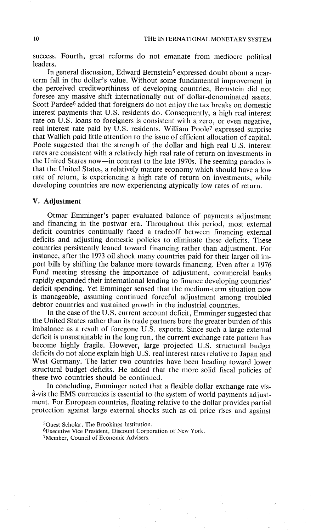success. Fourth, great reforms do not emanate from mediocre political leaders.

In general discussion, Edward Bernstein5 expressed doubt about a nearterm fall in the dollar's value. Without some fundamental improvement in the perceived creditworthiness of developing countries, Bernstein did not foresee any massive shift internationally out of dollar-denominated assets. Scott Pardee<sup>6</sup> added that foreigners do not enjoy the tax breaks on domestic interest payments that U.S. residents do. Consequently, a high real interest rate on U.S. loans to foreigners is consistent with a zero, or even negative, real interest rate paid by U.S. residents. William Poole7 expressed surprise that Wallich paid little attention to the issue of efficient allocation of capital. Poole suggested that the strength of the dollar and high real U.S. interest rates are consistent with a relatively high real rate of return on investments in the United States now--in contrast to the late 1970s. The seeming paradox is that the United States, a relatively mature economy which should have a low rate of return, is experiencing a high rate of return on investments, while developing countries are now experiencing atypically low rates of return.

## **V. Adjustment**

Otmar Emminger's paper evaluated balance of payments adjustment and financing in the postwar era. Throughout this period, most external deficit countries continually faced a tradeoff between financing external deficits and adjusting domestic policies to eliminate these deficits. These countries persistently leaned toward financing rather than adjustment. For instance, after the 1973 oil shock many countries paid for their larger oil import bills by shifting the balance more towards financing. Even after a 1976 Fund meeting stressing the importance of adjustment, commercial banks rapidly expanded their international lending to finance developing countries' deficit spending. Yet Emminger sensed that the medium-term situation now is manageable, assuming continued forceful adjustment among troubled debtor countries and sustained growth in the industrial countries.

In the case of the U.S. current account deficit, Emminger suggested that the United States rather than its trade partners bore the greater burden of this imbalance as a result of foregone U.S. exports. Since such a large external deficit is unsustainable in the long run, the current exchange rate pattern has become highly fragile. However, large projected U.S. structural budget deficits do not alone explain high U.S. real interest rates relative to Japan and West Germany. The latter two countries have been heading toward lower structural budget deficits. He added that the more solid fiscal policies of these two countries should be continued.

In concluding, Emminger noted that a flexible dollar exchange rate visfi-vis the EMS currencies is essential to the system of world payments adjustment. For European countries, floating relative to the dollar provides partial protection against large external shocks such as oil price rises and against

<sup>5</sup>Guest Scholar, The Brookings Institution.

<sup>6</sup>Executive Vice President, Discount Corporation of New York.

<sup>7</sup>Member, Council of Economic Advisers.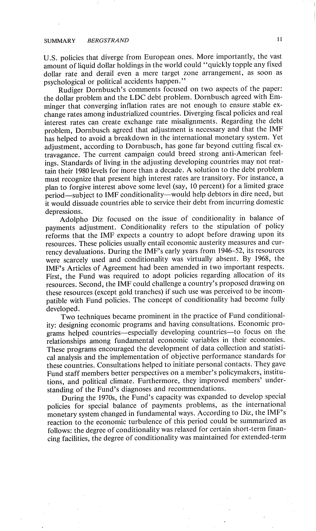# SUMMARY *BERGSTRAND 11*

U.S. policies that diverge from European ones. More importantly, the vast amount of liquid dollar holdings in the world could "quickly topple any fixed dollar rate and derail even a mere target zone arrangement, as soon as psychological or political accidents happen."

Rudiger Dornbusch's comments focused on two aspects of the paper: the dollar problem and the LDC debt problem. Dornbusch agreed with Emminger that converging inflation rates are not enough to ensure stable exchange rates among industrialized countries. Diverging fiscal policies and real interest rates can create exchange rate misalignments. Regarding the debt problem, Dornbusch agreed that adjustment is necessary and that the IMF has helped to avoid a breakdown in the international monetary system. Yet adjustment, according to Dornbusch, has gone far beyond cutting fiscal extravagance. The current campaign could breed strong anti-American feelings. Standards of living in the adjusting developing countries may not reattain their 1980 levels for inore than a decade. A solution to the debt problem must recognize that present high interest rates are transitory. For instance, a plan to forgive interest above some level (say, 10 percent) for a limited grace period-subject to IMF conditionality-would help debtors in dire need, but it would dissuade countries able to service their debt from incurring domestic depressions.

Adolpho Diz focused on the issue of conditionality in balance of payments adjustment. Conditionality refers to the stipulation of policy reforms that the IMF expects a country to adopt before drawing upon its resources. These policies usually entail economic austerity measures and currency devaluations. During the IMF's early years from 1946-52, its resources were scarcely used and conditionality was virtually absent. By 1968, the IMF's Articles of Agreement had been amended in two important respects. First, the Fund was required to adopt policies regarding allocation of its resources. Second, the IMF could challenge a country's proposed drawing on these resources (except gold tranches) if such use was perceived to be incompatible with Fund policies. The concept of conditionality had become fully developed.

Two techniques became prominent in the practice of Fund conditionality: designing economic programs and having consultations. Economic programs helped countries--especially developing countries--to focus on the relationships among fundamental economic variables in their economies. These programs encouraged the development of data collection and statistical analysis and the implementation of objective performance standards for these countries. Consultations helped to initiate personal contacts. They gave Fund staff members better perspectives on a member's policymakers, institutions, and political climate. Furthermore, they improved members' understanding of the Fund's diagnoses and recommendations.

During the 1970s, the Fund's capacity was expanded to develop special policies for special balance of payments problems, as the international monetary system changed in fundamental ways. According to Diz, the IMF's reaction to the economic turbulence of this period could be summarized as follows: the degree of conditionality was relaxed for certain short-term financing facilities, the degree of conditionality was maintained for extended-term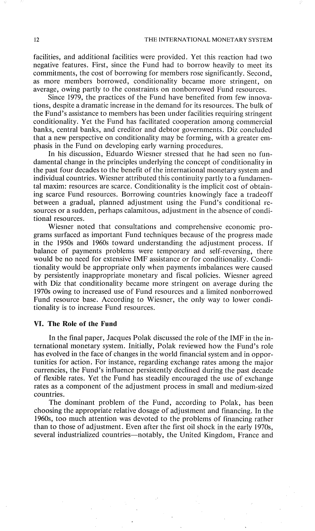facilities, and additional facilities were provided. Yet this reaction had two negative features. First, since the Fund had to borrow heavily to meet its commitments, the cost of borrowing for members rose significantly. Second, as more members borrowed, conditionality became more stringent, on average, owing partly to the constraints on nonborrowed Fund resources.

Since 1979, the practices of the Fund have benefited from few innovations, despite a dramatic increase in the demand for its resources. The bulk of the Fund's assistance to members has been under facilities requiring stringent conditionality. Yet the Fund has facilitated cooperation among commercial banks, central banks, and creditor and debtor governments. Diz concluded that a new perspective on conditionality may be forming, with a greater emphasis in the Fund on developing early warning procedures.

In his discussion, Eduardo Wiesner stressed that he had seen no fundamental change in the principles underlying the concept of conditionality in the past four decades to the benefit of the international monetary system and individual countries. Wiesner attributed this continuity partly to a fundamental maxim: resources are scarce. Conditionality is the implicit cost of obtaining scarce Fund resources. Borrowing countries knowingly face a tradeoff between a gradual, planned adjustment using the Fund's conditional resources or a sudden, perhaps calamitous, adjustment in the absence of conditional resources.

Wiesner noted that consultations and comprehensive economic programs surfaced as important Fund techniques because of the progress made in the 1950s and 1960s toward understanding the adjustment process. If balance of payments problems were temporary and self-reversing, there would be no need for extensive IMF assistance or for conditionality. Conditionality would be appropriate only when payments imbalances were caused by persistently inappropriate monetary and fiscal policies. Wiesner agreed with Diz that conditionality became more stringent on average during the 1970s owing to increased use of Fund resources and a limited nonborrowed Fund resource base. According to Wiesner, the only way to lower conditionality is to increase Fund resources.

#### **VI. The Role of the Fund**

In the final paper, Jacques Polak discussed the role of the IMF in the international monetary system. Initially, Polak reviewed how the Fund's role has evolved in the face of changes in the world financial system and in opportunities for action. For instance, regarding exchange rates among the major currencies, the Fund's influence persistently declined during the past decade of flexible rates. Yet the Fund has steadily encouraged the use of exchange rates as a component of the adjustment process in small and medium-sized countries.

The dominant problem of the Fund, according to Polak, has been choosing the appropriate relative dosage of adjustment and financing. In the 1960s, too much attention was devoted to the problems of financing rather than to those of adjustment. Even after the first oil shock in the early 1970s, several industrialized countries--notably, the United Kingdom, France and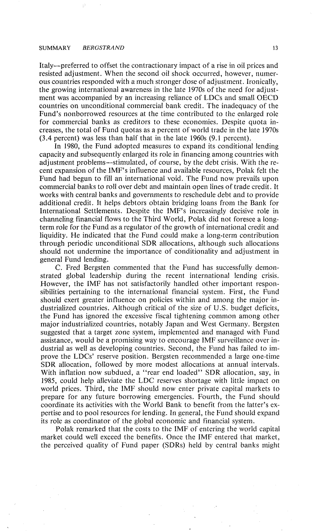#### SUMMARY *BERGSTRAND* 13

Italy--preferred to offset the contractionary impact of a rise in oil prices and resisted adjustment. When the second oil shock occurred, however, numerous countries responded with a much stronger dose of adjustment. Ironically, the growing international awareness in the late 1970s of the need for adjustment was accompanied by an increasing reliance of LDCs and small OECD countries on unconditional commercial bank credit. The inadequacy of the Fund's nonborrowed resources at the time contributed to the enlarged role for commercial banks as creditors to these economies. Despite quota increases, the total of Fund quotas as a percent of world trade in the late 1970s (3.4 percent) was less than half that in the late 1960s (9.1 percent).

In 1980, the Fund adopted measures to expand its conditional lending capacity and subsequently enlarged its role in financing among countries with adjustment problems--stimulated, of course, by the debt crisis. With the recent expansion of the IMF's influence and available resources, Polak felt the Fund had begun to fill an international void. The Fund now prevails upon commercial banks to roll over debt and maintain open lines of trade credit. It works with central banks and governments to reschedule debt and to provide additional credit. It helps debtors obtain bridging loans from the Bank for International Settlements. Despite the IMF's increasingly decisive role in channeling financial flows to the Third World, Polak did not foresee a longterm role for the Fund as a regulator of the growth of international credit and liquidity. He indicated that the Fund could make a long-term contribution through periodic unconditional SDR allocations, although such allocations should not undermine the importance of conditionality and adjustment in general Fund lending.

C. Fred Bergsten commented that the Fund has successfully demonstrated global leadership during the recent international lending crisis. However, the IMF has not satisfactorily handled other important responsibilities pertaining to the international financial system. First, the Fund should exert greater influence on policies within and among the major industrialized countries. Although critical of the size of U.S. budget deficits, the Fund has ignored the excessive fiscal tightening common among other major industrialized countries, notably Japan and West Germany. Bergsten suggested that a target zone system, implemented and managed with Fund assistance, would be a promising way to encourage IMF surveillance over industrial as well as developing countries. Second, the Fund has failed to improve the LDCs' reserve position. Bergsten recommended a large one-time SDR allocation, followed by more modest allocations at annual intervals. With inflation now subdued, a "rear end loaded" SDR allocation, say, in 1985, could help alleviate the LDC reserves shortage with little impact on world prices. Third, the IMF should now enter private capital markets to prepare for any future borrowing emergencies. Fourth, the Fund should coordinate its activities with the World Bank to benefit from the latter's expertise and to pool resources for lending. In general, the Fund should expand its role as coordinator of the global economic and financial system.

Polak remarked that the costs to the IMF of entering the world capital market could well exceed the benefits. Once the IMF entered that market, the perceived quality of Fund paper (SDRs) held by central banks might